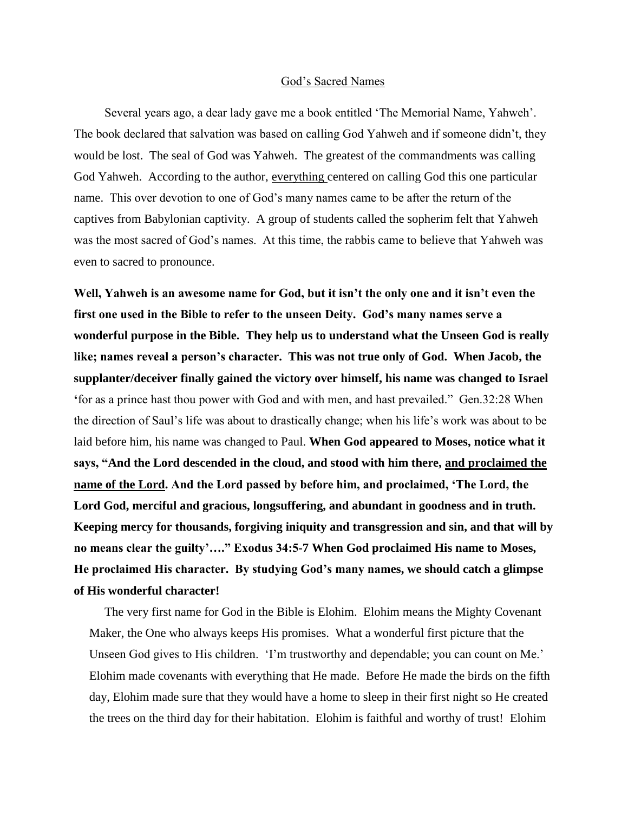## God's Sacred Names

 Several years ago, a dear lady gave me a book entitled 'The Memorial Name, Yahweh'. The book declared that salvation was based on calling God Yahweh and if someone didn't, they would be lost. The seal of God was Yahweh. The greatest of the commandments was calling God Yahweh. According to the author, everything centered on calling God this one particular name. This over devotion to one of God's many names came to be after the return of the captives from Babylonian captivity. A group of students called the sopherim felt that Yahweh was the most sacred of God's names. At this time, the rabbis came to believe that Yahweh was even to sacred to pronounce.

**Well, Yahweh is an awesome name for God, but it isn't the only one and it isn't even the first one used in the Bible to refer to the unseen Deity. God's many names serve a wonderful purpose in the Bible. They help us to understand what the Unseen God is really like; names reveal a person's character. This was not true only of God. When Jacob, the supplanter/deceiver finally gained the victory over himself, his name was changed to Israel '**for as a prince hast thou power with God and with men, and hast prevailed." Gen.32:28 When the direction of Saul's life was about to drastically change; when his life's work was about to be laid before him, his name was changed to Paul. **When God appeared to Moses, notice what it says, "And the Lord descended in the cloud, and stood with him there, and proclaimed the name of the Lord. And the Lord passed by before him, and proclaimed, 'The Lord, the Lord God, merciful and gracious, longsuffering, and abundant in goodness and in truth. Keeping mercy for thousands, forgiving iniquity and transgression and sin, and that will by no means clear the guilty'…." Exodus 34:5-7 When God proclaimed His name to Moses, He proclaimed His character. By studying God's many names, we should catch a glimpse of His wonderful character!**

 The very first name for God in the Bible is Elohim. Elohim means the Mighty Covenant Maker, the One who always keeps His promises. What a wonderful first picture that the Unseen God gives to His children. 'I'm trustworthy and dependable; you can count on Me.' Elohim made covenants with everything that He made. Before He made the birds on the fifth day, Elohim made sure that they would have a home to sleep in their first night so He created the trees on the third day for their habitation. Elohim is faithful and worthy of trust! Elohim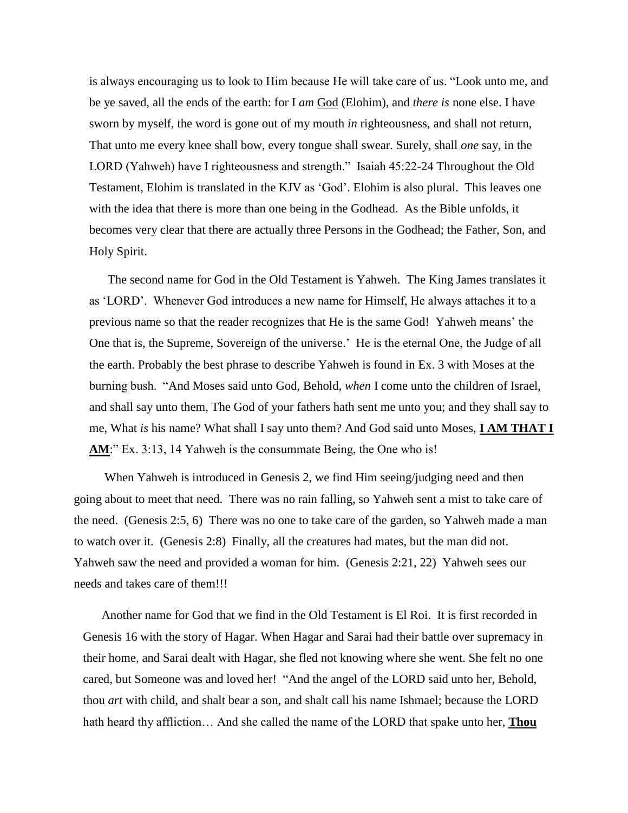is always encouraging us to look to Him because He will take care of us. "Look unto me, and be ye saved, all the ends of the earth: for I *am* God (Elohim), and *there is* none else. I have sworn by myself, the word is gone out of my mouth *in* righteousness, and shall not return, That unto me every knee shall bow, every tongue shall swear. Surely, shall *one* say, in the LORD (Yahweh) have I righteousness and strength." Isaiah 45:22-24 Throughout the Old Testament, Elohim is translated in the KJV as 'God'. Elohim is also plural. This leaves one with the idea that there is more than one being in the Godhead. As the Bible unfolds, it becomes very clear that there are actually three Persons in the Godhead; the Father, Son, and Holy Spirit.

 The second name for God in the Old Testament is Yahweh. The King James translates it as 'LORD'. Whenever God introduces a new name for Himself, He always attaches it to a previous name so that the reader recognizes that He is the same God! Yahweh means' the One that is, the Supreme, Sovereign of the universe.' He is the eternal One, the Judge of all the earth. Probably the best phrase to describe Yahweh is found in Ex. 3 with Moses at the burning bush. ["And Moses said unto God, Behold,](http://www.kingjamesbibleonline.org/Exodus-3-13/) *when* I come unto the children of Israel, [and shall say unto them, The God of your fathers hath sent me unto you; and they shall say to](http://www.kingjamesbibleonline.org/Exodus-3-13/)  me, What *is* his name? What [shall I say unto them?](http://www.kingjamesbibleonline.org/Exodus-3-13/) [And God said unto Moses,](http://www.kingjamesbibleonline.org/Exodus-3-14/) **I AM THAT I [AM](http://www.kingjamesbibleonline.org/Exodus-3-14/)**:" Ex. 3:13, 14 Yahweh is the consummate Being, the One who is!

 When Yahweh is introduced in Genesis 2, we find Him seeing/judging need and then going about to meet that need. There was no rain falling, so Yahweh sent a mist to take care of the need. (Genesis 2:5, 6) There was no one to take care of the garden, so Yahweh made a man to watch over it. (Genesis 2:8) Finally, all the creatures had mates, but the man did not. Yahweh saw the need and provided a woman for him. (Genesis 2:21, 22) Yahweh sees our needs and takes care of them!!!

 Another name for God that we find in the Old Testament is El Roi. It is first recorded in Genesis 16 with the story of Hagar. When Hagar and Sarai had their battle over supremacy in their home, and Sarai dealt with Hagar, she fled not knowing where she went. She felt no one cared, but Someone was and loved her! "And the angel of the LORD said unto her, Behold, thou *art* with child, and shalt bear a son, and shalt call his name Ishmael; because the LORD hath heard thy affliction… And she called the name of the LORD that spake unto her, **Thou**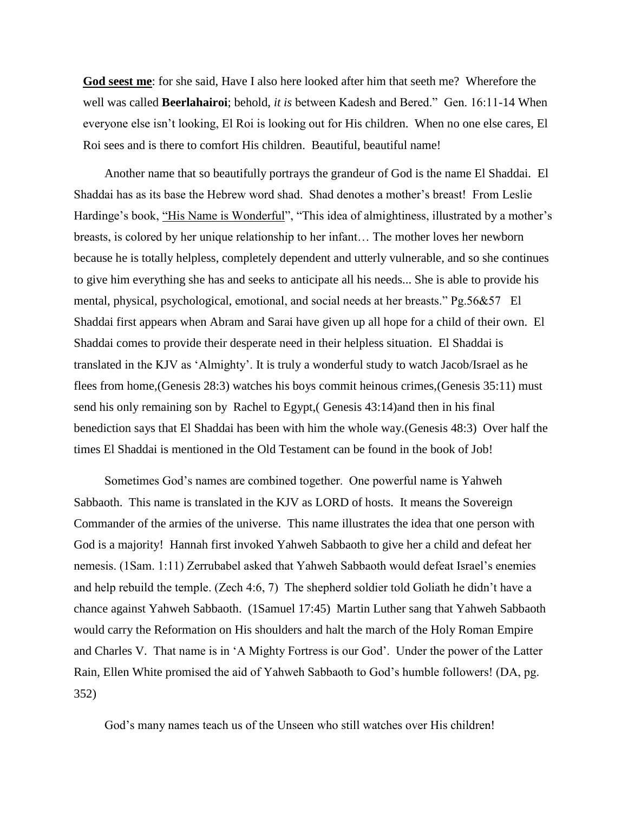**God seest me**: for she said, Have I also here looked after him that seeth me? Wherefore the well was called **Beerlahairoi**; behold, *it is* between Kadesh and Bered." Gen. 16:11-14 When everyone else isn't looking, El Roi is looking out for His children. When no one else cares, El Roi sees and is there to comfort His children. Beautiful, beautiful name!

 Another name that so beautifully portrays the grandeur of God is the name El Shaddai. El Shaddai has as its base the Hebrew word shad. Shad denotes a mother's breast! From Leslie Hardinge's book, "His Name is Wonderful", "This idea of almightiness, illustrated by a mother's breasts, is colored by her unique relationship to her infant… The mother loves her newborn because he is totally helpless, completely dependent and utterly vulnerable, and so she continues to give him everything she has and seeks to anticipate all his needs... She is able to provide his mental, physical, psychological, emotional, and social needs at her breasts." Pg.56&57 El Shaddai first appears when Abram and Sarai have given up all hope for a child of their own. El Shaddai comes to provide their desperate need in their helpless situation. El Shaddai is translated in the KJV as 'Almighty'. It is truly a wonderful study to watch Jacob/Israel as he flees from home,(Genesis 28:3) watches his boys commit heinous crimes,(Genesis 35:11) must send his only remaining son by Rachel to Egypt,( Genesis 43:14)and then in his final benediction says that El Shaddai has been with him the whole way.(Genesis 48:3) Over half the times El Shaddai is mentioned in the Old Testament can be found in the book of Job!

 Sometimes God's names are combined together. One powerful name is Yahweh Sabbaoth. This name is translated in the KJV as LORD of hosts. It means the Sovereign Commander of the armies of the universe. This name illustrates the idea that one person with God is a majority! Hannah first invoked Yahweh Sabbaoth to give her a child and defeat her nemesis. (1Sam. 1:11) Zerrubabel asked that Yahweh Sabbaoth would defeat Israel's enemies and help rebuild the temple. (Zech 4:6, 7) The shepherd soldier told Goliath he didn't have a chance against Yahweh Sabbaoth. (1Samuel 17:45) Martin Luther sang that Yahweh Sabbaoth would carry the Reformation on His shoulders and halt the march of the Holy Roman Empire and Charles V. That name is in 'A Mighty Fortress is our God'. Under the power of the Latter Rain, Ellen White promised the aid of Yahweh Sabbaoth to God's humble followers! (DA, pg. 352)

God's many names teach us of the Unseen who still watches over His children!